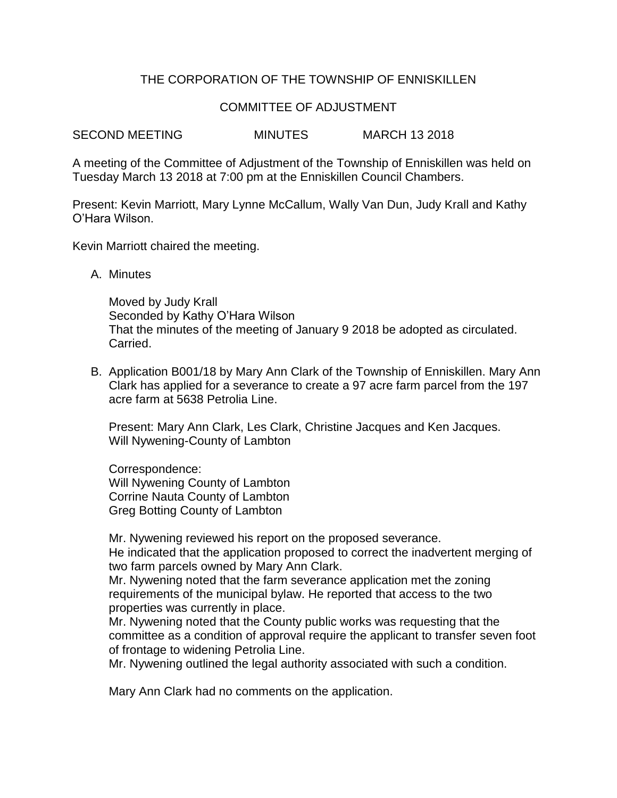# THE CORPORATION OF THE TOWNSHIP OF ENNISKILLEN

# COMMITTEE OF ADJUSTMENT

SECOND MEETING MINUTES MARCH 13 2018

A meeting of the Committee of Adjustment of the Township of Enniskillen was held on Tuesday March 13 2018 at 7:00 pm at the Enniskillen Council Chambers.

Present: Kevin Marriott, Mary Lynne McCallum, Wally Van Dun, Judy Krall and Kathy O'Hara Wilson.

Kevin Marriott chaired the meeting.

A. Minutes

Moved by Judy Krall Seconded by Kathy O'Hara Wilson That the minutes of the meeting of January 9 2018 be adopted as circulated. Carried.

B. Application B001/18 by Mary Ann Clark of the Township of Enniskillen. Mary Ann Clark has applied for a severance to create a 97 acre farm parcel from the 197 acre farm at 5638 Petrolia Line.

Present: Mary Ann Clark, Les Clark, Christine Jacques and Ken Jacques. Will Nywening-County of Lambton

Correspondence: Will Nywening County of Lambton Corrine Nauta County of Lambton Greg Botting County of Lambton

Mr. Nywening reviewed his report on the proposed severance. He indicated that the application proposed to correct the inadvertent merging of two farm parcels owned by Mary Ann Clark.

Mr. Nywening noted that the farm severance application met the zoning requirements of the municipal bylaw. He reported that access to the two properties was currently in place.

Mr. Nywening noted that the County public works was requesting that the committee as a condition of approval require the applicant to transfer seven foot of frontage to widening Petrolia Line.

Mr. Nywening outlined the legal authority associated with such a condition.

Mary Ann Clark had no comments on the application.